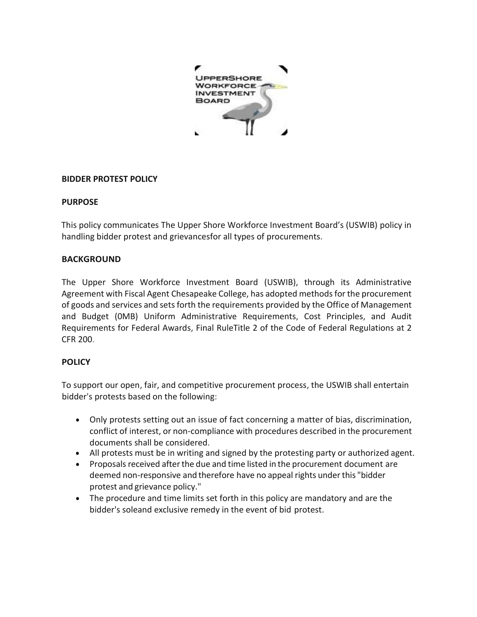

#### **BIDDER PROTEST POLICY**

#### **PURPOSE**

This policy communicates The Upper Shore Workforce Investment Board's (USWIB) policy in handling bidder protest and grievancesfor all types of procurements.

# **BACKGROUND**

The Upper Shore Workforce Investment Board (USWIB), through its Administrative Agreement with Fiscal Agent Chesapeake College, has adopted methods for the procurement of goods and services and sets forth the requirements provided by the Office of Management and Budget (0MB) Uniform Administrative Requirements, Cost Principles, and Audit Requirements for Federal Awards, Final RuleTitle 2 of the Code of Federal Regulations at 2 CFR 200.

# **POLICY**

To support our open, fair, and competitive procurement process, the USWIB shall entertain bidder's protests based on the following:

- Only protests setting out an issue of fact concerning a matter of bias, discrimination, conflict of interest, or non-compliance with procedures described in the procurement documents shall be considered.
- All protests must be in writing and signed by the protesting party or authorized agent.
- Proposals received after the due and time listed in the procurement document are deemed non-responsive and therefore have no appeal rights under this "bidder protest and grievance policy."
- The procedure and time limits set forth in this policy are mandatory and are the bidder's soleand exclusive remedy in the event of bid protest.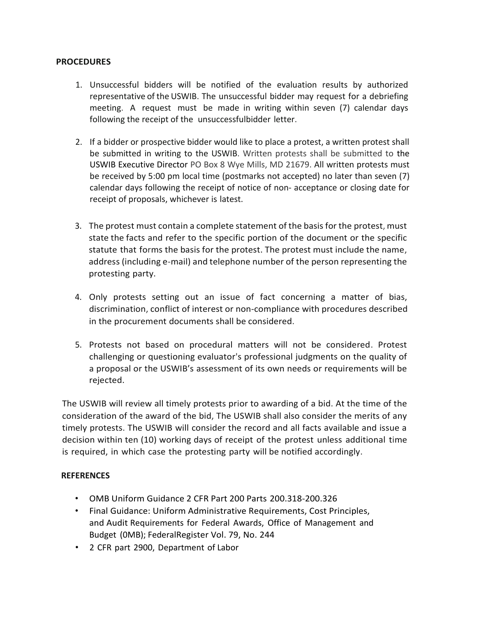#### **PROCEDURES**

- 1. Unsuccessful bidders will be notified of the evaluation results by authorized representative of the USWIB. The unsuccessful bidder may request for a debriefing meeting. A request must be made in writing within seven (7) calendar days following the receipt of the unsuccessfulbidder letter.
- 2. If a bidder or prospective bidder would like to place a protest, a written protest shall be submitted in writing to the USWIB. Written protests shall be submitted to the USWIB Executive Director PO Box 8 Wye Mills, MD 21679. All written protests must be received by 5:00 pm local time (postmarks not accepted) no later than seven (7) calendar days following the receipt of notice of non- acceptance or closing date for receipt of proposals, whichever is latest.
- 3. The protest must contain a complete statement of the basisfor the protest, must state the facts and refer to the specific portion of the document or the specific statute that forms the basis for the protest. The protest must include the name, address (including e-mail) and telephone number of the person representing the protesting party.
- 4. Only protests setting out an issue of fact concerning a matter of bias, discrimination, conflict of interest or non-compliance with procedures described in the procurement documents shall be considered.
- 5. Protests not based on procedural matters will not be considered. Protest challenging or questioning evaluator's professional judgments on the quality of a proposal or the USWIB's assessment of its own needs or requirements will be rejected.

The USWIB will review all timely protests prior to awarding of a bid. At the time of the consideration of the award of the bid, The USWIB shall also consider the merits of any timely protests. The USWIB will consider the record and all facts available and issue a decision within ten (10) working days of receipt of the protest unless additional time is required, in which case the protesting party will be notified accordingly.

# **REFERENCES**

- OMB Uniform Guidance 2 CFR Part 200 Parts 200.318-200.326
- Final Guidance: Uniform Administrative Requirements, Cost Principles, and Audit Requirements for Federal Awards, Office of Management and Budget (0MB); FederalRegister Vol. 79, No. 244
- 2 CFR part 2900, Department of Labor